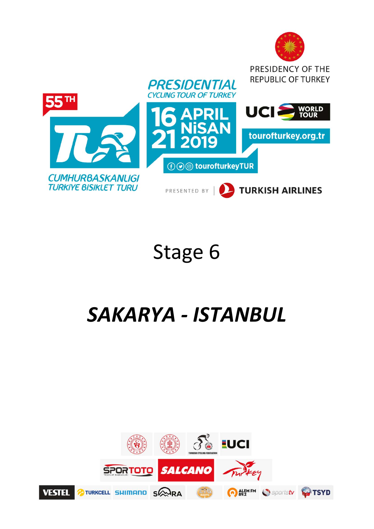

# Stage 6

# *SAKARYA ‐ ISTANBUL*

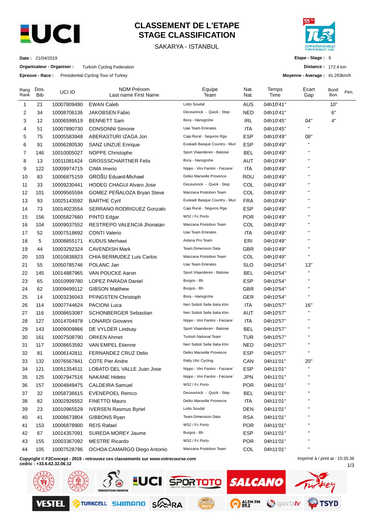

# **CLASSEMENT DE L'ETAPE STAGE CLASSIFICATION**

SAKARYA - ISTANBUL



**Etape - Stage :** 6

**Distance :** 172.4 km

1/3

**Moyenne - Average :** 41.263km/h

**Date :** 21/04/2019

**Organisateur - Organiser :** Turkish Cycling Federation

**Epreuve - Race :** Presidential Cycling Tour of Turkey

| Rang<br>Rank | Dos.<br><b>Bib</b> | UCI ID      | NOM Prénom<br>Last name First Name                                               | Equipe<br>Team                  | Nat.<br>Nat. | Temps<br>Time | Ecart<br>Gap                    | Bonif.<br>Bon. | Pen. |
|--------------|--------------------|-------------|----------------------------------------------------------------------------------|---------------------------------|--------------|---------------|---------------------------------|----------------|------|
| 1            | 21                 | 10007809490 | <b>EWAN Caleb</b>                                                                | Lotto Soudal                    | AUS          | 04h10'41"     |                                 | 10"            |      |
| 2            | 34                 | 10008706136 | <b>JAKOBSEN Fabio</b>                                                            | Deceuninck - Quick - Step       | NED          | 04h10'41"     |                                 | 6"             |      |
| 3            | 12                 | 10006599519 | <b>BENNETT Sam</b>                                                               | Bora - Hansgrohe                | <b>IRL</b>   | 04h10'45"     | 04"                             | 4"             |      |
| 4            | 51                 | 10007890730 | <b>CONSONNI Simone</b>                                                           | Uae Team Emirates               | ITA          | 04h10'45"     |                                 |                |      |
| 5            | 75                 | 10005583948 | ABERASTURI IZAGA Jon                                                             | Caja Rural - Seguros Rga        | ESP          | 04h10'49"     | 08"                             |                |      |
| 6            | 91                 | 10006280530 | <b>SANZ UNZUE Enrique</b>                                                        | Euskadi Basque Country - Muri   | ESP          | 04h10'49"     |                                 |                |      |
| 7            | 146                | 10010005027 | NOPPE Christophe                                                                 | Sport Vlaanderen - Baloise      | <b>BEL</b>   | 04h10'49"     | п                               |                |      |
| 8            | 13                 | 10011081424 | <b>GROSSSCHARTNER Felix</b>                                                      | Bora - Hansgrohe                | AUT          | 04h10'49"     | п                               |                |      |
| 9            | 122                | 10009974715 | CIMA Imerio                                                                      | Nippo - Vini Fantini - Faizane` | ITA          | 04h10'49"     | п                               |                |      |
| 10           | 83                 | 10006875159 | GROŠU Eduard-Michael                                                             | Delko Marseille Provence        | ROU          | 04h10'49"     |                                 |                |      |
| 11           | 33                 | 10009230441 | <b>HODEG CHAGUI Alvaro Jose</b>                                                  | Deceuninck - Quick - Step       | COL          | 04h10'49"     | п                               |                |      |
| 12           | 101                | 10009565594 | GOMEZ PEÑALOZA Bryan Steve                                                       | Manzana Postobon Team           | COL          | 04h10'49"     |                                 |                |      |
| 13           | 93                 | 10025143592 | <b>BARTHE Cyril</b>                                                              | Euskadi Basque Country - Muri   | FRA          | 04h10'49"     | п                               |                |      |
| 14           | 73                 | 10014023554 | SERRANO RODRIGUEZ Gonzalo                                                        | Caja Rural - Seguros Rga        | ESP          | 04h10'49"     |                                 |                |      |
| 15           | 156                | 10005827660 | PINTO Edgar                                                                      | W52 / Fc Porto                  | <b>POR</b>   | 04h10'49"     | п                               |                |      |
| 16           | 104                | 10009037552 | RESTREPO VALENCIA Jhonatan                                                       | Manzana Postobon Team           | COL          | 04h10'49"     | п                               |                |      |
| 17           | 52                 | 10007518692 | <b>CONTI Valerio</b>                                                             | Uae Team Emirates               | ITA          | 04h10'49"     | п                               |                |      |
| 18           | 5                  | 10008855171 | <b>KUDUS Merhawi</b>                                                             | Astana Pro Team                 | ERI          | 04h10'49"     |                                 |                |      |
| 19           | 44                 | 10003292324 | <b>CAVENDISH Mark</b>                                                            | Team Dimension Data             | <b>GBR</b>   | 04h10'49"     | п                               |                |      |
| 20           | 103                | 10010838823 | CHIA BERMUDEZ Luis Carlos                                                        | Manzana Postobon Team           | COL          | 04h10'49"     |                                 |                |      |
| 21           | 55                 | 10050785746 | POLANC Jan                                                                       | Uae Team Emirates               | <b>SLO</b>   | 04h10'54"     | 13"                             |                |      |
| 22           | 145                | 10014887965 | VAN POUCKE Aaron                                                                 | Sport Vlaanderen - Baloise      | BEL          | 04h10'54"     | н                               |                |      |
| 23           | 65                 | 10010999780 | LOPEZ PARADA Daniel                                                              | Burgos - Bh                     | <b>ESP</b>   | 04h10'54"     | п                               |                |      |
| 24           | 62                 | 10009499112 | <b>GIBSON Matthew</b>                                                            | Burgos - Bh                     | <b>GBR</b>   | 04h10'54"     | $\blacksquare$                  |                |      |
| 25           | 14                 | 10003236043 | PFINGSTEN Christoph                                                              | Bora - Hansgrohe                | <b>GER</b>   | 04h10'54"     |                                 |                |      |
| 26           | 114                | 10007744624 | <b>PACIONI Luca</b>                                                              | Neri Sottoli Selle Italia Ktm   | ITA          | 04h10'57"     | 16"                             |                |      |
| 27           | 116                | 10008653087 | <b>SCHONBERGER Sebastian</b>                                                     | Neri Sottoli Selle Italia Ktm   | AUT          | 04h10'57"     |                                 |                |      |
| 28           | 127                | 10014704978 | LONARDI Giovanni                                                                 | Nippo - Vini Fantini - Faizane` | <b>ITA</b>   | 04h10'57"     | п                               |                |      |
| 29           | 143                | 10009009866 | DE VYLDER Lindsay                                                                | Sport Vlaanderen - Baloise      | <b>BEL</b>   | 04h10'57"     | п                               |                |      |
| 30           | 161                | 10007508790 | <b>ORKEN Ahmet</b>                                                               | <b>Turkish National Team</b>    | <b>TUR</b>   | 04h10'57"     |                                 |                |      |
| 31           | 117                | 10008653592 | VAN EMPEL Etienne                                                                | Neri Sottoli Selle Italia Ktm   | <b>NED</b>   | 04h10'57"     | п                               |                |      |
| 32           | 81                 | 10006142811 | <b>FERNANDEZ CRUZ Delio</b>                                                      | Delko Marseille Provence        | ESP          | 04h10'57"     | $\mathbf{H}$                    |                |      |
| 33           | 132                | 10076567841 | <b>COTE Pier Andre</b>                                                           | Rally Uhc Cycling               | CAN          | 04h11'01"     | 20"                             |                |      |
| 34           | 121                | 10051354511 | LOBATO DEL VALLE Juan Jose                                                       | Nippo - Vini Fantini - Faizane` | <b>ESP</b>   | 04h11'01"     |                                 |                |      |
| 35           | 125                | 10007947516 | <b>NAKANE Hideto</b>                                                             | Nippo - Vini Fantini - Faizane` | <b>JPN</b>   | 04h11'01"     | П                               |                |      |
| 36           | 157                | 10004849475 | <b>CALDEIRA</b> Samuel                                                           | W52 / Fc Porto                  | <b>POR</b>   | 04h11'01"     | п                               |                |      |
| 37           | 32                 | 10058736615 | <b>EVENEPOEL Remco</b>                                                           | Deceuninck - Quick - Step       | <b>BEL</b>   | 04h11'01"     |                                 |                |      |
| 38           | 82                 | 10002926552 | <b>FINETTO Mauro</b>                                                             | Delko Marseille Provence        | ITA          | 04h11'01"     | п                               |                |      |
| 39           | 23                 | 10010965529 | <b>IVERSEN Rasmus Byriel</b>                                                     | Lotto Soudal                    | <b>DEN</b>   | 04h11'01"     |                                 |                |      |
| 40           | 41                 | 10008673804 | GIBBONS Ryan                                                                     | Team Dimension Data             | <b>RSA</b>   | 04h11'01"     | н                               |                |      |
| 41           | 153                | 10006878900 | <b>REIS Rafael</b>                                                               | W52 / Fc Porto                  | POR          | 04h11'01"     | П                               |                |      |
| 42           | 67                 | 10014357091 | SUREDA MOREY Jaume                                                               | Burgos - Bh                     | <b>ESP</b>   | 04h11'01"     |                                 |                |      |
| 43           | 155                | 10003367092 | <b>MESTRE Ricardo</b>                                                            | W52 / Fc Porto                  | <b>POR</b>   | 04h11'01"     | п                               |                |      |
| 44           | 105                | 10007528796 | OCHOA CAMARGO Diego Antonio                                                      | Manzana Postobon Team           | COL          | 04h11'01"     | н                               |                |      |
|              |                    |             | Copyright © F2Concept - 2019 - retrouvez ces classements sur www.votrecourse.com |                                 |              |               | Imprimé à / print at : 15:35:36 |                |      |

**Copyright © F2Concept - 2019 - retrouvez ces classements sur www.votrecourse.com**

**cedric : +33.6.62.32.06.12**

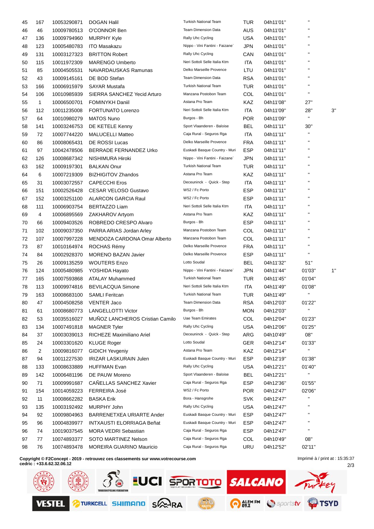| 45 | 167            | 10053290871 | <b>DOGAN Halil</b>                                | <b>Turkish National Team</b>                                    | <b>TUR</b> | 04h11'01" | $\mathbf{H}$           |    |
|----|----------------|-------------|---------------------------------------------------|-----------------------------------------------------------------|------------|-----------|------------------------|----|
| 46 | 46             | 10009780513 | O'CONNOR Ben                                      | <b>Team Dimension Data</b>                                      | AUS        | 04h11'01" | п                      |    |
| 47 | 136            | 10009794960 | <b>MURPHY Kyle</b>                                | Rally Uhc Cycling                                               | <b>USA</b> | 04h11'01" | п                      |    |
| 48 | 123            | 10005480783 | <b>ITO Masakazu</b>                               | Nippo - Vini Fantini - Faizane`                                 | <b>JPN</b> | 04h11'01" |                        |    |
| 49 | 131            | 10003127323 | <b>BRITTON Robert</b>                             | Rally Uhc Cycling                                               | CAN        | 04h11'01" |                        |    |
| 50 | 115            | 10011972309 | <b>MARENGO Umberto</b>                            | Neri Sottoli Selle Italia Ktm                                   | ITA        | 04h11'01" | H.                     |    |
| 51 | 85             | 10004505531 | NAVARDAUSKAS Ramunas                              | Delko Marseille Provence                                        | LTU        | 04h11'01" | H.                     |    |
| 52 | 43             | 10009145161 | DE BOD Stefan                                     | Team Dimension Data                                             | <b>RSA</b> | 04h11'01" | $\blacksquare$         |    |
| 53 | 166            | 10006915979 | <b>SAYAR Mustafa</b>                              | Turkish National Team                                           | <b>TUR</b> | 04h11'01" | п                      |    |
| 54 | 106            | 10010985939 | SIERRA SANCHEZ Yecid Arturo                       | Manzana Postobon Team                                           | COL        | 04h11'01" | $\mathbf{H}$           |    |
| 55 | $\mathbf{1}$   | 10006500701 | <b>FOMINYKH Daniil</b>                            | Astana Pro Team                                                 | KAZ        | 04h11'08" | 27"                    |    |
| 56 | 112            | 10011235008 | FORTUNATO Lorenzo                                 | Neri Sottoli Selle Italia Ktm                                   | <b>ITA</b> | 04h11'09" | 28"                    | 3" |
| 57 | 64             | 10010980279 | <b>MATOS Nuno</b>                                 | Burgos - Bh                                                     | <b>POR</b> | 04h11'09" | $\mathbf{H}$           |    |
| 58 | 141            | 10003246753 | DE KETELE Kenny                                   | Sport Vlaanderen - Baloise                                      | BEL        | 04h11'11" | 30"                    |    |
| 59 | 72             | 10007744220 | <b>MALUCELLI Matteo</b>                           | Caja Rural - Seguros Rga                                        | ITA        | 04h11'11" | H.                     |    |
| 60 | 86             | 10008065431 | <b>DE ROSSI Lucas</b>                             | Delko Marseille Provence                                        | <b>FRA</b> | 04h11'11" | п                      |    |
| 61 | 97             | 10042478506 | BERRADE FERNANDEZ Urko                            | Euskadi Basque Country - Muri                                   | <b>ESP</b> | 04h11'11" | п                      |    |
| 62 | 126            | 10008687342 | NISHIMURA Hiroki                                  | Nippo - Vini Fantini - Faizane`                                 | JPN        | 04h11'11" | п                      |    |
| 63 | 162            | 10009197301 | <b>BALKAN Onur</b>                                | <b>Turkish National Team</b>                                    | TUR        | 04h11'11" | $\blacksquare$         |    |
| 64 | 6              | 10007219309 | <b>BIZHIGITOV Zhandos</b>                         | Astana Pro Team                                                 | KAZ        | 04h11'11" |                        |    |
| 65 | 31             | 10003072557 | <b>CAPECCHI Eros</b>                              | Deceuninck - Quick - Step                                       | ITA        | 04h11'11" | H.                     |    |
| 66 | 151            | 10002526428 | <b>CESAR VELOSO Gustavo</b>                       | W52 / Fc Porto                                                  | <b>ESP</b> | 04h11'11" | $\blacksquare$         |    |
| 67 | 152            | 10003251100 | <b>ALARCON GARCIA Raul</b>                        | W52 / Fc Porto                                                  | <b>ESP</b> | 04h11'11" | $\blacksquare$         |    |
| 68 | 111            | 10006903754 | <b>BERTAZZO Liam</b>                              | Neri Sottoli Selle Italia Ktm                                   | ITA        | 04h11'11" | п                      |    |
| 69 | 4              | 10006895569 | ZAKHAROV Artyom                                   | Astana Pro Team                                                 | KAZ        | 04h11'11" | п                      |    |
| 70 | 66             | 10009403526 | ROBREDO CRESPO Alvaro                             | Burgos - Bh                                                     | <b>ESP</b> | 04h11'11" | $\blacksquare$         |    |
| 71 | 102            | 10009037350 | PARRA ARIAS Jordan Arley                          | Manzana Postobon Team                                           | COL        | 04h11'11" | $\blacksquare$         |    |
| 72 | 107            |             | MENDOZA CARDONA Omar Alberto                      | Manzana Postobon Team                                           | COL        |           | H.                     |    |
|    | 87             | 10007997228 | ROCHAS Rémy                                       | Delko Marseille Provence                                        | <b>FRA</b> | 04h11'11" |                        |    |
| 73 |                | 10010164974 |                                                   | Delko Marseille Provence                                        |            | 04h11'11" | $\mathbf{H}$           |    |
| 74 | 84             | 10002928370 | <b>MORENO BAZAN Javier</b><br><b>WOUTERS Enzo</b> | Lotto Soudal                                                    | <b>ESP</b> | 04h11'11" |                        |    |
| 75 | 26             | 10009135259 |                                                   |                                                                 | BEL        | 04h11'32" | 51"                    |    |
| 76 | 124            | 10005480985 | YOSHIDA Hayato                                    | Nippo - Vini Fantini - Faizane`<br><b>Turkish National Team</b> | <b>JPN</b> | 04h11'44" | 01'03"                 | 1" |
| 77 | 165            | 10007593868 | <b>ATALAY Muhammed</b>                            |                                                                 | <b>TUR</b> | 04h11'45" | 01'04"                 |    |
| 78 | 113            | 10009974816 | <b>BEVILACQUA Simone</b>                          | Neri Sottoli Selle Italia Ktm                                   | ITA        | 04h11'49" | 01'08"<br>$\mathbf{H}$ |    |
| 79 | 163            | 10008683100 | <b>SAMLI Feritcan</b>                             | <b>Turkish National Team</b>                                    | TUR        | 04h11'49" |                        |    |
| 80 | 47             | 10004508258 | <b>VENTER Jaco</b>                                | Team Dimension Data                                             | <b>RSA</b> | 04h12'03" | 01'22"<br>$\mathbf{H}$ |    |
| 81 | 61             | 10008680773 | <b>LANGELLOTTI Victor</b>                         | Burgos - Bh                                                     | <b>MON</b> | 04h12'03" |                        |    |
| 82 | 53             | 10035516027 | MUÑOZ LANCHEROS Cristian Camilo                   | <b>Uae Team Emirates</b>                                        | COL        | 04h12'04" | 01'23"                 |    |
| 83 | 134            | 10007491818 | <b>MAGNER Tyler</b>                               | Rally Uhc Cycling                                               | <b>USA</b> | 04h12'06" | 01'25"                 |    |
| 84 | 37             | 10003039013 | RICHEZE Maximiliano Ariel                         | Deceuninck - Quick - Step                                       | ARG        | 04h10'49" | 08"                    |    |
| 85 | 24             | 10003301620 | <b>KLUGE Roger</b>                                | Lotto Soudal                                                    | <b>GER</b> | 04h12'14" | 01'33"                 |    |
| 86 | $\overline{2}$ | 10009816077 | <b>GIDICH Yevgeniy</b>                            | Astana Pro Team                                                 | KAZ        | 04h12'14" | $\mathbf{H}$           |    |
| 87 | 94             | 10011227530 | <b>IRIZAR LASKURAIN Julen</b>                     | Euskadi Basque Country - Muri                                   | <b>ESP</b> | 04h12'19" | 01'38"                 |    |
| 88 | 133            | 10008633889 | <b>HUFFMAN Evan</b>                               | Rally Uhc Cycling                                               | <b>USA</b> | 04h12'21" | 01'40"                 |    |
| 89 | 142            | 10006481196 | DE PAUW Moreno                                    | Sport Vlaanderen - Baloise                                      | <b>BEL</b> | 04h12'21" | $\mathbf{H}$           |    |
| 90 | 71             | 10009991687 | <b>CANELLAS SANCHEZ Xavier</b>                    | Caja Rural - Seguros Rga                                        | ESP        | 04h12'36" | 01'55"                 |    |
| 91 | 154            | 10014059223 | FERREIRA José                                     | W52 / Fc Porto                                                  | <b>POR</b> | 04h12'47" | 02'06"                 |    |
| 92 | 11             | 10008662282 | <b>BASKA Erik</b>                                 | Bora - Hansgrohe                                                | <b>SVK</b> | 04h12'47" | H.                     |    |
| 93 | 135            | 10003192492 | MURPHY John                                       | Rally Uhc Cycling                                               | <b>USA</b> | 04h12'47" | H.                     |    |
| 94 | 92             | 10009804963 | BARRENETXEA URIARTE Ander                         | Euskadi Basque Country - Muri                                   | <b>ESP</b> | 04h12'47" | н.                     |    |
| 95 | 96             | 10004839977 | <b>INTXAUSTI ELORRIAGA Beñat</b>                  | Euskadi Basque Country - Muri                                   | <b>ESP</b> | 04h12'47" |                        |    |
| 96 | 74             | 10019037545 | <b>MORA VEDRI Sebastian</b>                       | Caja Rural - Seguros Rga                                        | <b>ESP</b> | 04h12'47" | н.                     |    |
| 97 | 77             | 10074893377 | SOTO MARTINEZ Nelson                              | Caja Rural - Seguros Rga                                        | COL        | 04h10'49" | 08"                    |    |
| 98 | 76             | 10074893478 | MOREIRA GUARINO Mauricio                          | Caja Rural - Seguros Rga                                        | URU        | 04h12'52" | 02'11"                 |    |
|    |                |             |                                                   |                                                                 |            |           |                        |    |

**Copyright © F2Concept - 2019 - retrouvez ces classements sur www.votrecourse.com cedric : +33.6.62.32.06.12**

**SO EUCI SPORTOTO SALCANO** iey TURKCELL SHIMAND SAWRA O ALEMEM Sportstv **OTSYD VESTEL** 

2/3 Imprimé à / print at : 15:35:37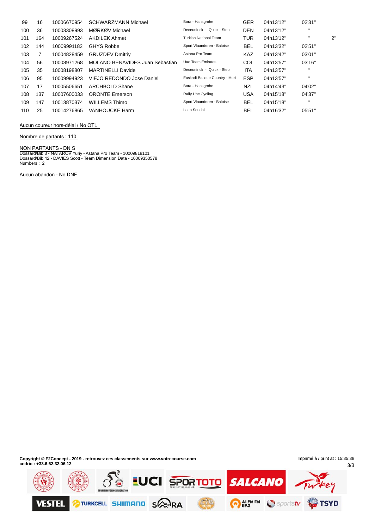| 99  | 16  | 10006670954 | <b>SCHWARZMANN Michael</b>             | Bora - Hansgrohe              | <b>GER</b> | 04h13'12" | 02'31"         |              |
|-----|-----|-------------|----------------------------------------|-------------------------------|------------|-----------|----------------|--------------|
| 100 | 36  | 10003308993 | MØRKØV Michael                         | Deceuninck - Quick - Step     | <b>DEN</b> | 04h13'12" | $\mathbf{H}$   |              |
| 101 | 164 | 10009267524 | <b>AKDILEK Ahmet</b>                   | <b>Turkish National Team</b>  | <b>TUR</b> | 04h13'12" | $\mathbf{H}$   | $2^{\prime}$ |
| 102 | 144 | 10009991182 | <b>GHYS Robbe</b>                      | Sport Vlaanderen - Baloise    | <b>BEL</b> | 04h13'32" | 02'51"         |              |
| 103 |     | 10004828459 | <b>GRUZDEV Dmitriy</b>                 | Astana Pro Team               | <b>KAZ</b> | 04h13'42" | 03'01"         |              |
| 104 | 56  | 10008971268 | <b>MOLANO BENAVIDES Juan Sebastian</b> | Uae Team Emirates             | COL        | 04h13'57" | 03'16''        |              |
| 105 | 35  | 10008198807 | <b>MARTINELLI Davide</b>               | Deceuninck - Quick - Step     | <b>ITA</b> | 04h13'57" | $\blacksquare$ |              |
| 106 | 95  | 10009994923 | VIEJO REDONDO Jose Daniel              | Euskadi Basque Country - Muri | <b>ESP</b> | 04h13'57" | $\blacksquare$ |              |
| 107 | 17  | 10005506651 | <b>ARCHBOLD Shane</b>                  | Bora - Hansgrohe              | <b>NZL</b> | 04h14'43" | 04'02"         |              |
| 108 | 137 | 10007600033 | <b>ORONTE Emerson</b>                  | Rally Uhc Cycling             | <b>USA</b> | 04h15'18" | 04'37"         |              |
| 109 | 147 | 10013870374 | <b>WILLEMS Thimo</b>                   | Sport Vlaanderen - Baloise    | <b>BEL</b> | 04h15'18" | $\blacksquare$ |              |
| 110 | 25  | 10014276865 | <b>VANHOUCKE Harm</b>                  | Lotto Soudal                  | <b>BEL</b> | 04h16'32" | 05'51"         |              |

**Aucun coureur hors-dÈlai / No OTL**

**Nombre de partants : 110**

#### **NON PARTANTS - DN** S

Dossard/Bib 3 - NATAROV Yuriy - Astana Pro Team - 10009818101 Dossard/Bib 42 - DAVIES Scott - Team Dimension Data - 10009350578 Numbers : 2

**Aucun abandon - No DNF**

 $\ddot{\phantom{a}}$ 

**Copyright © F2Concept - 2019 - retrouvez ces classements sur www.votrecourse.com cedric : +33.6.62.32.06.12**

3/3 Imprimé à / print at : 15:35:38

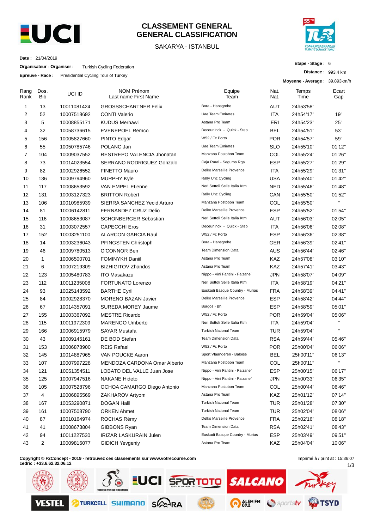

## **CLASSEMENT GENERAL GENERAL CLASSIFICATION**

### SAKARYA - ISTANBUL



**Etape - Stage :** 6

**Distance :** 993.4 km

**Date :** 21/04/2019

**Organisateur - Organiser :** Turkish Cycling Federation

**Epreuve - Race :** Presidential Cycling Tour of Turkey

|                |                    | <b>Lineave - Race.</b> Fresidential Oyung Tour of Turkey |                                           |                                 |              | Moyenne - Average: 39.893km/h |              |
|----------------|--------------------|----------------------------------------------------------|-------------------------------------------|---------------------------------|--------------|-------------------------------|--------------|
| Rang<br>Rank   | Dos.<br><b>Bib</b> | UCI ID                                                   | <b>NOM Prénom</b><br>Last name First Name | Equipe<br>Team                  | Nat.<br>Nat. | Temps<br>Time                 | Ecart<br>Gap |
| 1              | 13                 | 10011081424                                              | <b>GROSSSCHARTNER Felix</b>               | Bora - Hansgrohe                | AUT          | 24h53'58"                     |              |
| $\overline{c}$ | 52                 | 10007518692                                              | <b>CONTI Valerio</b>                      | <b>Uae Team Emirates</b>        | <b>ITA</b>   | 24h54'17"                     | 19"          |
| 3              | 5                  | 10008855171                                              | <b>KUDUS Merhawi</b>                      | Astana Pro Team                 | ERI          | 24h54'23"                     | 25"          |
| 4              | 32                 | 10058736615                                              | <b>EVENEPOEL Remco</b>                    | Deceuninck - Quick - Step       | <b>BEL</b>   | 24h54'51"                     | 53"          |
| 5              | 156                | 10005827660                                              | PINTO Edgar                               | W52 / Fc Porto                  | <b>POR</b>   | 24h54'57"                     | 59"          |
| 6              | 55                 | 10050785746                                              | POLANC Jan                                | <b>Uae Team Emirates</b>        | <b>SLO</b>   | 24h55'10"                     | 01'12"       |
| $\overline{7}$ | 104                | 10009037552                                              | RESTREPO VALENCIA Jhonatan                | Manzana Postobon Team           | COL          | 24h55'24"                     | 01'26"       |
| 8              | 73                 | 10014023554                                              | SERRANO RODRIGUEZ Gonzalo                 | Caja Rural - Seguros Rga        | <b>ESP</b>   | 24h55'27"                     | 01'29"       |
| 9              | 82                 | 10002926552                                              | <b>FINETTO Mauro</b>                      | Delko Marseille Provence        | <b>ITA</b>   | 24h55'29"                     | 01'31"       |
| 10             | 136                | 10009794960                                              | <b>MURPHY Kyle</b>                        | Rally Uhc Cycling               | <b>USA</b>   | 24h55'40"                     | 01'42"       |
| 11             | 117                | 10008653592                                              | VAN EMPEL Etienne                         | Neri Sottoli Selle Italia Ktm   | <b>NED</b>   | 24h55'46"                     | 01'48"       |
| 12             | 131                | 10003127323                                              | <b>BRITTON Robert</b>                     | Rally Uhc Cycling               | CAN          | 24h55'50"                     | 01'52"       |
| 13             | 106                | 10010985939                                              | SIERRA SANCHEZ Yecid Arturo               | Manzana Postobon Team           | COL          | 24h55'50"                     | H.           |
| 14             | 81                 | 10006142811                                              | <b>FERNANDEZ CRUZ Delio</b>               | Delko Marseille Provence        | <b>ESP</b>   | 24h55'52"                     | 01'54"       |
| 15             | 116                | 10008653087                                              | <b>SCHONBERGER Sebastian</b>              | Neri Sottoli Selle Italia Ktm   | AUT          | 24h56'03"                     | 02'05"       |
| 16             | 31                 | 10003072557                                              | <b>CAPECCHI Eros</b>                      | Deceuninck - Quick - Step       | ITA          | 24h56'06"                     | 02'08"       |
| 17             | 152                | 10003251100                                              | <b>ALARCON GARCIA Raul</b>                | W52 / Fc Porto                  | <b>ESP</b>   | 24h56'36"                     | 02'38"       |
| 18             | 14                 | 10003236043                                              | PFINGSTEN Christoph                       | Bora - Hansgrohe                | <b>GER</b>   | 24h56'39"                     | 02'41"       |
| 19             | 46                 | 10009780513                                              | O'CONNOR Ben                              | <b>Team Dimension Data</b>      | AUS          | 24h56'44"                     | 02'46"       |
| 20             | $\mathbf{1}$       | 10006500701                                              | <b>FOMINYKH Daniil</b>                    | Astana Pro Team                 | KAZ          | 24h57'08"                     | 03'10"       |
| 21             | 6                  | 10007219309                                              | <b>BIZHIGITOV Zhandos</b>                 | Astana Pro Team                 | KAZ          | 24h57'41"                     | 03'43"       |
| 22             | 123                | 10005480783                                              | <b>ITO Masakazu</b>                       | Nippo - Vini Fantini - Faizane` | <b>JPN</b>   | 24h58'07"                     | 04'09"       |
| 23             | 112                | 10011235008                                              | <b>FORTUNATO Lorenzo</b>                  | Neri Sottoli Selle Italia Ktm   | ITA          | 24h58'19"                     | 04'21"       |
| 24             | 93                 | 10025143592                                              | <b>BARTHE Cyril</b>                       | Euskadi Basque Country - Murias | <b>FRA</b>   | 24h58'39"                     | 04'41"       |
| 25             | 84                 | 10002928370                                              | <b>MORENO BAZAN Javier</b>                | Delko Marseille Provence        | <b>ESP</b>   | 24h58'42"                     | 04'44"       |
| 26             | 67                 | 10014357091                                              | <b>SUREDA MOREY Jaume</b>                 | Burgos - Bh                     | <b>ESP</b>   | 24h58'59"                     | 05'01"       |
| 27             | 155                | 10003367092                                              | <b>MESTRE Ricardo</b>                     | W52 / Fc Porto                  | <b>POR</b>   | 24h59'04"                     | 05'06"       |
| 28             | 115                | 10011972309                                              | <b>MARENGO Umberto</b>                    | Neri Sottoli Selle Italia Ktm   | ITA          | 24h59'04"                     | $\mathbf{H}$ |
| 29             | 166                | 10006915979                                              | <b>SAYAR Mustafa</b>                      | Turkish National Team           | TUR          | 24h59'04"                     | $\mathbf{H}$ |
| 30             | 43                 | 10009145161                                              | DE BOD Stefan                             | <b>Team Dimension Data</b>      | <b>RSA</b>   | 24h59'44"                     | 05'46"       |
| 31             | 153                | 10006878900                                              | <b>REIS Rafael</b>                        | W52 / Fc Porto                  | <b>POR</b>   | 25h00'04"                     | 06'06"       |
| 32             | 145                | 10014887965                                              | VAN POUCKE Aaron                          | Sport Vlaanderen - Baloise      | <b>BEL</b>   | 25h00'11"                     | 06'13"       |
| 33             | 107                | 10007997228                                              | MENDOZA CARDONA Omar Alberto              | Manzana Postobon Team           | COL          | 25h00'11"                     | $\mathbf{H}$ |
| 34             | 121                | 10051354511                                              | LOBATO DEL VALLE Juan Jose                | Nippo - Vini Fantini - Faizane` | <b>ESP</b>   | 25h00'15"                     | 06'17"       |
| 35             | 125                | 10007947516                                              | <b>NAKANE Hideto</b>                      | Nippo - Vini Fantini - Faizane` | <b>JPN</b>   | 25h00'33"                     | 06'35"       |
| 36             | 105                | 10007528796                                              | OCHOA CAMARGO Diego Antonio               | Manzana Postobon Team           | COL          | 25h00'44"                     | 06'46"       |
| 37             | 4                  | 10006895569                                              | ZAKHAROV Artyom                           | Astana Pro Team                 | KAZ          | 25h01'12"                     | 07'14"       |
| 38             | 167                | 10053290871                                              | <b>DOGAN Halil</b>                        | <b>Turkish National Team</b>    | <b>TUR</b>   | 25h01'28"                     | 07'30"       |
| 39             | 161                | 10007508790                                              | <b>ORKEN Ahmet</b>                        | <b>Turkish National Team</b>    | <b>TUR</b>   | 25h02'04"                     | 08'06"       |
| 40             | 87                 | 10010164974                                              | ROCHAS Rémy                               | Delko Marseille Provence        | <b>FRA</b>   | 25h02'16"                     | 08'18"       |
| 41             | 41                 | 10008673804                                              | GIBBONS Ryan                              | Team Dimension Data             | <b>RSA</b>   | 25h02'41"                     | 08'43"       |
| 42             | 94                 | 10011227530                                              | <b>IRIZAR LASKURAIN Julen</b>             | Euskadi Basque Country - Murias | <b>ESP</b>   | 25h03'49"                     | 09'51"       |
| 43             | 2                  | 10009816077                                              | <b>GIDICH Yevgeniy</b>                    | Astana Pro Team                 | KAZ          | 25h04'04"                     | 10'06"       |

**Copyright © F2Concept - 2019 - retrouvez ces classements sur www.votrecourse.com**

**cedric : +33.6.62.32.06.12**

1/3 Imprimé à / print at : 15:36:07

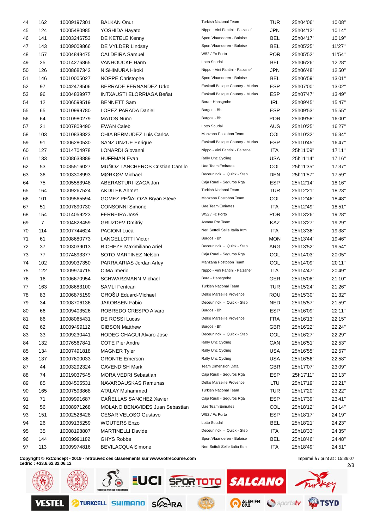| 44 | 162            | 10009197301 | <b>BALKAN Onur</b>                     | <b>Turkish National Team</b>           | TUR        | 25h04'06"              | 10'08"           |
|----|----------------|-------------|----------------------------------------|----------------------------------------|------------|------------------------|------------------|
| 45 | 124            | 10005480985 | YOSHIDA Hayato                         | Nippo - Vini Fantini - Faizane`        | <b>JPN</b> | 25h04'12"              | 10'14"           |
| 46 | 141            | 10003246753 | DE KETELE Kenny                        | Sport Vlaanderen - Baloise             | <b>BEL</b> | 25h04'17"              | 10'19"           |
| 47 | 143            | 10009009866 | DE VYLDER Lindsay                      | Sport Vlaanderen - Baloise             | BEL        | 25h05'25"              | 11'27"           |
| 48 | 157            | 10004849475 | <b>CALDEIRA Samuel</b>                 | W52 / Fc Porto                         | <b>POR</b> | 25h05'52"              | 11'54"           |
| 49 | 25             | 10014276865 | <b>VANHOUCKE Harm</b>                  | Lotto Soudal                           | <b>BEL</b> | 25h06'26"              | 12'28"           |
| 50 | 126            | 10008687342 | NISHIMURA Hiroki                       | Nippo - Vini Fantini - Faizane`        | <b>JPN</b> | 25h06'48"              | 12'50"           |
| 51 | 146            | 10010005027 | NOPPE Christophe                       | Sport Vlaanderen - Baloise             | <b>BEL</b> | 25h06'59"              | 13'01"           |
| 52 | 97             | 10042478506 | <b>BERRADE FERNANDEZ Urko</b>          | Euskadi Basque Country - Murias        | <b>ESP</b> | 25h07'00"              | 13'02"           |
| 53 | 96             | 10004839977 | <b>INTXAUSTI ELORRIAGA Beñat</b>       | Euskadi Basque Country - Murias        | ESP        | 25h07'47"              | 13'49"           |
| 54 | 12             | 10006599519 | <b>BENNETT Sam</b>                     | Bora - Hansgrohe                       | IRL        | 25h09'45"              | 15'47"           |
| 55 | 65             | 10010999780 | <b>LOPEZ PARADA Daniel</b>             | Burgos - Bh                            | <b>ESP</b> | 25h09'53"              | 15'55"           |
| 56 | 64             | 10010980279 | <b>MATOS Nuno</b>                      | Burgos - Bh                            | <b>POR</b> | 25h09'58"              | 16'00"           |
| 57 | 21             | 10007809490 | <b>EWAN Caleb</b>                      | Lotto Soudal                           | <b>AUS</b> | 25h10'25"              | 16'27"           |
| 58 | 103            | 10010838823 | CHIA BERMUDEZ Luis Carlos              | Manzana Postobon Team                  | COL        | 25h10'32"              | 16'34"           |
| 59 | 91             | 10006280530 | <b>SANZ UNZUE Enrique</b>              | Euskadi Basque Country - Murias        | <b>ESP</b> | 25h10'45"              | 16'47"           |
| 60 | 127            | 10014704978 | LONARDI Giovanni                       | Nippo - Vini Fantini - Faizane`        | ITA        | 25h11'09"              | 17'11"           |
| 61 | 133            | 10008633889 | <b>HUFFMAN Evan</b>                    | Rally Uhc Cycling                      | <b>USA</b> | 25h11'14"              | 17'16"           |
| 62 | 53             | 10035516027 | MUÑOZ LANCHEROS Cristian Camilo        | <b>Uae Team Emirates</b>               | COL        | 25h11'35"              | 17'37"           |
| 63 | 36             | 10003308993 | MØRKØV Michael                         | Deceuninck - Quick - Step              | <b>DEN</b> | 25h11'57"              | 17'59"           |
| 64 | 75             | 10005583948 | ABERASTURI IZAGA Jon                   | Caja Rural - Seguros Rga               | ESP        | 25h12'14"              | 18'16"           |
| 65 | 164            | 10009267524 | <b>AKDILEK Ahmet</b>                   | <b>Turkish National Team</b>           | <b>TUR</b> | 25h12'21"              | 18'23"           |
| 66 | 101            | 10009565594 | GOMEZ PEÑALOZA Bryan Steve             | Manzana Postobon Team                  | COL        | 25h12'46"              | 18'48"           |
| 67 | 51             | 10007890730 | <b>CONSONNI Simone</b>                 | Uae Team Emirates                      | ITA        | 25h12'49"              | 18'51"           |
| 68 | 154            | 10014059223 | <b>FERREIRA José</b>                   | W52 / Fc Porto                         | <b>POR</b> | 25h13'26"              | 19'28"           |
| 69 | $\overline{7}$ | 10004828459 | <b>GRUZDEV Dmitriy</b>                 | Astana Pro Team                        | KAZ        | 25h13'27"              | 19'29"           |
| 70 | 114            | 10007744624 | <b>PACIONI Luca</b>                    | Neri Sottoli Selle Italia Ktm          | ITA        | 25h13'36"              | 19'38"           |
| 71 | 61             | 10008680773 | <b>LANGELLOTTI Victor</b>              | Burgos - Bh                            | <b>MON</b> | 25h13'44"              | 19'46"           |
| 72 | 37             | 10003039013 | RICHEZE Maximiliano Ariel              | Deceuninck - Quick - Step              | ARG        | 25h13'52"              | 19'54"           |
| 73 | 77             | 10074893377 | SOTO MARTINEZ Nelson                   | Caja Rural - Seguros Rga               | COL        | 25h14'03"              | 20'05"           |
| 74 | 102            | 10009037350 | PARRA ARIAS Jordan Arley               | Manzana Postobon Team                  | COL        | 25h14'09"              | 20'11"           |
| 75 | 122            | 10009974715 | CIMA Imerio                            | Nippo - Vini Fantini - Faizane`        | ITA        | 25h14'47"              | 20'49"           |
| 76 | 16             | 10006670954 | <b>SCHWARZMANN Michael</b>             | Bora - Hansgrohe                       | <b>GER</b> | 25h15'08"              | 21'10"           |
| 77 | 163            | 10008683100 | <b>SAMLI Feritcan</b>                  | <b>Turkish National Team</b>           | <b>TUR</b> | 25h15'24"              | 21'26"           |
| 78 | 83             | 10006875159 | GROŠU Eduard-Michael                   | Delko Marseille Provence               | ROU        | 25h15'30"              | 21'32"           |
| 79 | 34             | 10008706136 | JAKOBSEN Fabio                         | Deceuninck - Quick - Step              | <b>NED</b> | 25h15'57"              | 21'59"           |
|    |                |             |                                        | Burgos - Bh                            | <b>ESP</b> |                        |                  |
| 80 | 66             | 10009403526 | ROBREDO CRESPO Alvaro                  | Delko Marseille Provence               |            | 25h16'09"              | 22'11"           |
| 81 | 86             | 10008065431 | DE ROSSI Lucas                         | Burgos - Bh                            | <b>FRA</b> | 25h16'13"              | 22'15"           |
| 82 | 62             | 10009499112 | <b>GIBSON Matthew</b>                  | Deceuninck - Quick - Step              | <b>GBR</b> | 25h16'22"<br>25h16'27" | 22'24"<br>22'29" |
| 83 | 33             | 10009230441 | <b>HODEG CHAGUI Alvaro Jose</b>        |                                        | COL        |                        |                  |
| 84 | 132            | 10076567841 | <b>COTE Pier Andre</b>                 | Rally Uhc Cycling                      | CAN        | 25h16'51"              | 22'53"           |
| 85 | 134            | 10007491818 | <b>MAGNER Tyler</b>                    | Rally Uhc Cycling<br>Rally Uhc Cycling | <b>USA</b> | 25h16'55"              | 22'57"           |
| 86 | 137            | 10007600033 | <b>ORONTE Emerson</b>                  |                                        | <b>USA</b> | 25h16'56"              | 22'58"           |
| 87 | 44             | 10003292324 | <b>CAVENDISH Mark</b>                  | Team Dimension Data                    | <b>GBR</b> | 25h17'07"              | 23'09"           |
| 88 | 74             | 10019037545 | <b>MORA VEDRI Sebastian</b>            | Caja Rural - Seguros Rga               | <b>ESP</b> | 25h17'11"              | 23'13"           |
| 89 | 85             | 10004505531 | NAVARDAUSKAS Ramunas                   | Delko Marseille Provence               | LTU        | 25h17'19"              | 23'21"           |
| 90 | 165            | 10007593868 | <b>ATALAY Muhammed</b>                 | Turkish National Team                  | <b>TUR</b> | 25h17'20"              | 23'22"           |
| 91 | 71             | 10009991687 | CAÑELLAS SANCHEZ Xavier                | Caja Rural - Seguros Rga               | <b>ESP</b> | 25h17'39"              | 23'41"           |
| 92 | 56             | 10008971268 | <b>MOLANO BENAVIDES Juan Sebastian</b> | Uae Team Emirates                      | COL        | 25h18'12"              | 24'14"           |
| 93 | 151            | 10002526428 | <b>CESAR VELOSO Gustavo</b>            | W52 / Fc Porto                         | <b>ESP</b> | 25h18'17"              | 24'19"           |
| 94 | 26             | 10009135259 | <b>WOUTERS Enzo</b>                    | Lotto Soudal                           | <b>BEL</b> | 25h18'21"              | 24'23"           |
| 95 | 35             | 10008198807 | <b>MARTINELLI Davide</b>               | Deceuninck - Quick - Step              | ITA        | 25h18'33"              | 24'35"           |
| 96 | 144            | 10009991182 | <b>GHYS Robbe</b>                      | Sport Vlaanderen - Baloise             | <b>BEL</b> | 25h18'46"              | 24'48"           |
| 97 | 113            | 10009974816 | <b>BEVILACQUA Simone</b>               | Neri Sottoli Selle Italia Ktm          | <b>ITA</b> | 25h18'49"              | 24'51"           |
|    |                |             |                                        |                                        |            |                        |                  |

**Copyright © F2Concept - 2019 - retrouvez ces classements sur www.votrecourse.com**

2/3 Imprimé à / print at : 15:36:07

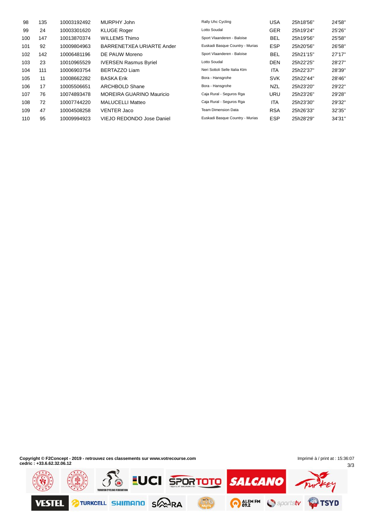| 98  | 135 | 10003192492 | MURPHY John                     | Rally Uhc Cycling               | <b>USA</b> | 25h18'56" | 24'58" |
|-----|-----|-------------|---------------------------------|---------------------------------|------------|-----------|--------|
| 99  | 24  | 10003301620 | <b>KLUGE Roger</b>              | Lotto Soudal                    | <b>GER</b> | 25h19'24" | 25'26" |
| 100 | 147 | 10013870374 | <b>WILLEMS Thimo</b>            | Sport Vlaanderen - Baloise      | <b>BEL</b> | 25h19'56" | 25'58" |
| 101 | 92  | 10009804963 | BARRENETXEA URIARTE Ander       | Euskadi Basque Country - Murias | <b>ESP</b> | 25h20'56" | 26'58" |
| 102 | 142 | 10006481196 | DE PAUW Moreno                  | Sport Vlaanderen - Baloise      | <b>BEL</b> | 25h21'15" | 27'17" |
| 103 | 23  | 10010965529 | <b>IVERSEN Rasmus Byriel</b>    | Lotto Soudal                    | <b>DEN</b> | 25h22'25" | 28'27" |
| 104 | 111 | 10006903754 | BERTAZZO Liam                   | Neri Sottoli Selle Italia Ktm   | <b>ITA</b> | 25h22'37" | 28'39" |
| 105 | 11  | 10008662282 | <b>BASKA Erik</b>               | Bora - Hansgrohe                | <b>SVK</b> | 25h22'44" | 28'46" |
| 106 | 17  | 10005506651 | ARCHBOLD Shane                  | Bora - Hansgrohe                | <b>NZL</b> | 25h23'20" | 29'22" |
| 107 | 76  | 10074893478 | <b>MOREIRA GUARINO Mauricio</b> | Caja Rural - Seguros Rga        | <b>URU</b> | 25h23'26" | 29'28" |
| 108 | 72  | 10007744220 | <b>MALUCELLI Matteo</b>         | Caja Rural - Seguros Rga        | <b>ITA</b> | 25h23'30" | 29'32" |
| 109 | 47  | 10004508258 | <b>VENTER Jaco</b>              | <b>Team Dimension Data</b>      | <b>RSA</b> | 25h26'33" | 32'35" |
| 110 | 95  | 10009994923 | VIEJO REDONDO Jose Daniel       | Euskadi Basque Country - Murias | <b>ESP</b> | 25h28'29" | 34'31" |

**Copyright © F2Concept - 2019 - retrouvez ces classements sur www.votrecourse.com cedric : +33.6.62.32.06.12**

3/3 Imprimé à / print at : 15:36:07

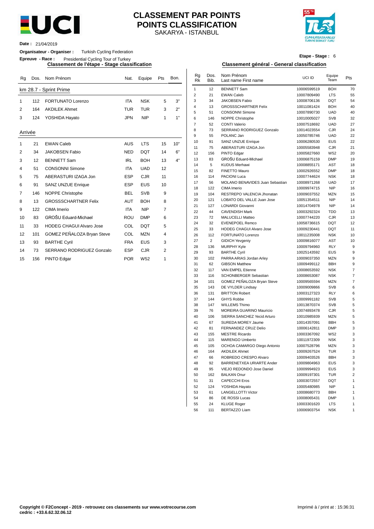

## SAKARYA - ISTANBUL **CLASSEMENT PAR POINTS POINTS CLASSIFICATION**



**Date :** 21/04/2019

#### **Organisateur - Organiser :** Turkish Cycling Federation

**Epreuve - Race :** Presidential Cycling Tour of Turkey

**Classement de l'étape - Stage classification Classement général - General classification**

| Rg             | Dos.              | Nom Prénom                      | Nat.       | Equipe          | Pts            | Bon. | Rg<br><b>Rk</b> | Dos.<br>Bib.   | Nom Prénom<br>Last name First name        | UCI ID                     | Equipe<br>Team           | Pts             |
|----------------|-------------------|---------------------------------|------------|-----------------|----------------|------|-----------------|----------------|-------------------------------------------|----------------------------|--------------------------|-----------------|
|                |                   | km 28.7 - Sprint Prime          |            |                 |                |      | $\mathbf{1}$    | 12             | <b>BENNETT Sam</b>                        | 10006599519                | <b>BOH</b>               | 7 <sub>0</sub>  |
|                |                   |                                 |            |                 |                |      | 2               | 21             | <b>EWAN Caleb</b>                         | 10007809490                | <b>LTS</b>               | 55              |
| 1              | 112               | <b>FORTUNATO Lorenzo</b>        | <b>ITA</b> | <b>NSK</b>      | 5              | 3"   | 3               | 34             | <b>JAKOBSEN Fabio</b>                     | 10008706136                | <b>DQT</b>               | 54              |
| 2              | 164               | <b>AKDILEK Ahmet</b>            | <b>TUR</b> | <b>TUR</b>      | 3              | 2"   | $\overline{4}$  | 13             | <b>GROSSSCHARTNER Felix</b>               | 10011081424                | <b>BOH</b>               | 4 <sub>0</sub>  |
|                |                   |                                 |            |                 |                |      | 5               | 51             | <b>CONSONNI Simone</b>                    | 10007890730                | <b>UAD</b>               | 4 <sub>0</sub>  |
| 3              | 124               | YOSHIDA Hayato                  | <b>JPN</b> | <b>NIP</b>      | $\mathbf{1}$   | 1"   | 6               | 146            | NOPPE Christophe                          | 10010005027                | <b>SVB</b>               | 32              |
|                |                   |                                 |            |                 |                |      | $\overline{7}$  | 52             | <b>CONTI Valerio</b>                      | 10007518692                | <b>UAD</b>               | 27              |
| Arrivée        |                   |                                 |            |                 |                |      | 8               | 73             | SERRANO RODRIGUEZ Gonzalo                 | 10014023554                | CJR                      | 2 <sup>2</sup>  |
|                |                   |                                 |            |                 |                |      | 9               | 55             | POLANC Jan                                | 10050785746                | <b>UAD</b>               | 22              |
| 1              | 21                | <b>EWAN Caleb</b>               | <b>AUS</b> | <b>LTS</b>      | 15             | 10"  | 10              | 91             | SANZ UNZUE Enrique                        | 10006280530                | EUS                      | $\overline{22}$ |
|                |                   |                                 |            |                 |                | 6"   | 11              | 75             | ABERASTURI IZAGA Jon                      | 10005583948                | <b>CJR</b>               | 21              |
| 2              | 34                | <b>JAKOBSEN Fabio</b>           | <b>NED</b> | <b>DQT</b>      | 14             |      | 12              | 156            | PINTO Edgar                               | 10005827660                | W <sub>52</sub>          | $\overline{2}$  |
| 3              | $12 \overline{ }$ | <b>BENNETT Sam</b>              | <b>IRL</b> | <b>BOH</b>      | 13             | 4"   | 13              | 83             | GROŠU Eduard-Michael                      | 10006875159                | <b>DMP</b>               | 19              |
| $\overline{4}$ | 51                | <b>CONSONNI Simone</b>          | <b>ITA</b> | <b>UAD</b>      | 12             |      | 14              | 5              | <b>KUDUS Merhawi</b>                      | 10008855171                | <b>AST</b>               | 18              |
|                |                   |                                 |            |                 |                |      | 15              | 82             | FINETTO Mauro                             | 10002926552                | <b>DMP</b>               | 18              |
| 5              | 75                | ABERASTURI IZAGA Jon            | <b>ESP</b> | <b>CJR</b>      | 11             |      | 16              | 114            | <b>PACIONI Luca</b>                       | 10007744624                | <b>NSK</b>               | 18              |
| 6              | 91                | <b>SANZ UNZUE Enrique</b>       | <b>ESP</b> | <b>EUS</b>      | 10             |      | 17              | 56             | MOLANO BENAVIDES Juan Sebastian           | 10008971268                | <b>UAD</b>               | 17              |
| 7              | 146               | <b>NOPPE Christophe</b>         | <b>BEL</b> | <b>SVB</b>      | 9              |      | 18<br>19        | 122<br>104     | CIMA Imerio<br>RESTREPO VALENCIA Jhonatan | 10009974715<br>10009037552 | <b>NIP</b><br><b>MZN</b> | 16<br>15        |
|                |                   |                                 |            |                 |                |      | 20              | 121            | LOBATO DEL VALLE Juan Jose                | 10051354511                | <b>NIP</b>               | 14              |
| 8              | 13                | <b>GROSSSCHARTNER Felix</b>     | <b>AUT</b> | <b>BOH</b>      | 8              |      | 21              | 127            | <b>LONARDI Giovanni</b>                   | 10014704978                | <b>NIP</b>               | 14              |
| 9              | 122               | CIMA Imerio                     | <b>ITA</b> | <b>NIP</b>      | $\overline{7}$ |      | 22              | 44             | <b>CAVENDISH Mark</b>                     | 10003292324                | <b>TDD</b>               | 13              |
| 10             | 83                | <b>GROŠU Eduard-Michael</b>     | <b>ROU</b> | <b>DMP</b>      | 6              |      | 23              | 72             | MALUCELLI Matteo                          | 10007744220                | CJR                      | 13              |
|                |                   | <b>HODEG CHAGUI Alvaro Jose</b> | COL        | <b>DQT</b>      | 5              |      | 24              | 32             | <b>EVENEPOEL Remco</b>                    | 10058736615                | <b>DQT</b>               | 12              |
| 11             | 33                |                                 |            |                 |                |      | 25              | 33             | <b>HODEG CHAGUI Alvaro Jose</b>           | 10009230441                | <b>DQT</b>               | 11              |
| 12             | 101               | GOMEZ PEÑALOZA Bryan Steve      | COL        | <b>MZN</b>      | $\overline{4}$ |      | 26              | 112            | <b>FORTUNATO Lorenzo</b>                  | 10011235008                | <b>NSK</b>               | 1 <sub>0</sub>  |
| 13             | 93                | <b>BARTHE Cyril</b>             | <b>FRA</b> | <b>EUS</b>      | 3              |      | 27              | $\overline{2}$ | <b>GIDICH Yevgeniy</b>                    | 10009816077                | <b>AST</b>               | 1 <sup>1</sup>  |
|                |                   |                                 |            |                 |                |      | 28              | 136            | <b>MURPHY Kyle</b>                        | 10009794960                | <b>RLY</b>               |                 |
| 14             | 73                | SERRANO RODRIGUEZ Gonzalo       | <b>ESP</b> | <b>CJR</b>      | $\overline{2}$ |      | 29              | 93             | <b>BARTHE Cyril</b>                       | 10025143592                | EUS                      |                 |
| 15             | 156               | PINTO Edgar                     | <b>POR</b> | W <sub>52</sub> | 1              |      | 30              | 102            | PARRA ARIAS Jordan Arley                  | 10009037350                | <b>MZN</b>               |                 |

# **Etape - Stage :** 6

| Rg      |     | Dos. Nom Prénom                 | Nat.       | Equipe          | Pts            | Bon. | $\mathsf{R} \mathsf{g}$<br>Rk | Dos.<br>Bib.          | Nom Prénom<br>Last name First name          | UCI ID                     | Equipe<br>Team           | Pts            |
|---------|-----|---------------------------------|------------|-----------------|----------------|------|-------------------------------|-----------------------|---------------------------------------------|----------------------------|--------------------------|----------------|
|         |     | km 28.7 - Sprint Prime          |            |                 |                |      | $\mathbf{1}$                  | 12                    | <b>BENNETT Sam</b>                          | 10006599519                | <b>BOH</b>               | 70             |
|         |     |                                 |            |                 |                |      | $\overline{2}$                | 21                    | <b>EWAN Caleb</b>                           | 10007809490                | <b>LTS</b>               | 55             |
| 1       | 112 | <b>FORTUNATO Lorenzo</b>        | ITA        | NSK             | 5              | 3"   | 3                             | 34                    | JAKOBSEN Fabio                              | 10008706136                | <b>DQT</b>               | 54             |
| 2       | 164 | <b>AKDILEK Ahmet</b>            | TUR        | TUR             | 3              | 2"   | 4                             | 13                    | <b>GROSSSCHARTNER Felix</b>                 | 10011081424                | <b>BOH</b>               | 40             |
|         |     |                                 |            |                 |                |      | 5                             | 51                    | <b>CONSONNI Simone</b>                      | 10007890730                | <b>UAD</b>               | 40             |
| 3       | 124 | YOSHIDA Hayato                  | JPN        | <b>NIP</b>      | $\mathbf{1}$   | 1"   | 6                             | 146                   | NOPPE Christophe                            | 10010005027                | <b>SVB</b>               | 32             |
|         |     |                                 |            |                 |                |      | $\overline{7}$                | 52                    | <b>CONTI Valerio</b>                        | 10007518692                | <b>UAD</b>               | 27             |
| Arrivée |     |                                 |            |                 |                |      | 8                             | 73                    | SERRANO RODRIGUEZ Gonzalo                   | 10014023554                | <b>CJR</b>               | 24             |
|         |     |                                 |            |                 |                |      | $\boldsymbol{9}$<br>10        | 55                    | POLANC Jan                                  | 10050785746                | <b>UAD</b><br><b>EUS</b> | 22             |
| 1       | 21  | <b>EWAN Caleb</b>               | <b>AUS</b> | <b>LTS</b>      | 15             | 10"  | 11                            | 91<br>75              | SANZ UNZUE Enrique<br>ABERASTURI IZAGA Jon  | 10006280530<br>10005583948 | CJR                      | 22<br>21       |
| 2       | 34  | <b>JAKOBSEN Fabio</b>           | <b>NED</b> | <b>DQT</b>      | 14             | 6"   | 12                            | 156                   | PINTO Edgar                                 | 10005827660                | W52                      | 20             |
|         |     |                                 |            |                 |                | 4"   | 13                            | 83                    | GROŠU Eduard-Michael                        | 10006875159                | <b>DMP</b>               | 19             |
| 3       | 12  | <b>BENNETT Sam</b>              | <b>IRL</b> | <b>BOH</b>      | 13             |      | 14                            | 5                     | <b>KUDUS Merhawi</b>                        | 10008855171                | <b>AST</b>               | 18             |
| 4       | 51  | <b>CONSONNI Simone</b>          | ITA        | <b>UAD</b>      | 12             |      | 15                            | 82                    | FINETTO Mauro                               | 10002926552                | <b>DMP</b>               | 18             |
| 5       | 75  | ABERASTURI IZAGA Jon            | <b>ESP</b> | <b>CJR</b>      | 11             |      | 16                            | 114                   | PACIONI Luca                                | 10007744624                | <b>NSK</b>               | 18             |
| 6       | 91  | <b>SANZ UNZUE Enrique</b>       | <b>ESP</b> | EUS             | 10             |      | 17                            | 56                    | MOLANO BENAVIDES Juan Sebastian             | 10008971268                | <b>UAD</b>               | 17             |
|         |     |                                 |            |                 |                |      | 18                            | 122                   | CIMA Imerio                                 | 10009974715                | <b>NIP</b>               | 16             |
| 7       | 146 | NOPPE Christophe                | <b>BEL</b> | <b>SVB</b>      | 9              |      | 19                            | 104                   | RESTREPO VALENCIA Jhonatan                  | 10009037552                | <b>MZN</b>               | 15             |
| 8       | 13  | <b>GROSSSCHARTNER Felix</b>     | AUT        | <b>BOH</b>      | 8              |      | 20                            | 121                   | LOBATO DEL VALLE Juan Jose                  | 10051354511                | <b>NIP</b>               | 14             |
| 9       | 122 | CIMA Imerio                     | ITA        | <b>NIP</b>      | $\overline{7}$ |      | 21                            | 127                   | <b>LONARDI Giovanni</b>                     | 10014704978                | <b>NIP</b>               | 14             |
|         |     |                                 |            |                 |                |      | 22                            | 44                    | <b>CAVENDISH Mark</b>                       | 10003292324                | <b>TDD</b>               | 13             |
| 10      | 83  | GROŠU Eduard-Michael            | <b>ROU</b> | <b>DMP</b>      | 6              |      | 23                            | 72                    | MALUCELLI Matteo                            | 10007744220                | <b>CJR</b>               | 13             |
| 11      | 33  | <b>HODEG CHAGUI Alvaro Jose</b> | COL        | DQT             | 5              |      | 24                            | 32                    | <b>EVENEPOEL Remco</b>                      | 10058736615                | <b>DQT</b>               | 12             |
| 12      | 101 | GOMEZ PEÑALOZA Bryan Steve      | COL        | <b>MZN</b>      | 4              |      | 25<br>26                      | 33                    | <b>HODEG CHAGUI Alvaro Jose</b>             | 10009230441                | <b>DQT</b>               | 11             |
|         |     |                                 |            |                 |                |      | 27                            | 112<br>$\overline{c}$ | FORTUNATO Lorenzo<br><b>GIDICH Yevgeniy</b> | 10011235008<br>10009816077 | <b>NSK</b><br><b>AST</b> | 10<br>10       |
| 13      | 93  | <b>BARTHE Cyril</b>             | <b>FRA</b> | <b>EUS</b>      | 3              |      | 28                            | 136                   | <b>MURPHY Kyle</b>                          | 10009794960                | <b>RLY</b>               | 9              |
| 14      | 73  | SERRANO RODRIGUEZ Gonzalo       | <b>ESP</b> | <b>CJR</b>      | $\overline{c}$ |      | 29                            | 93                    | <b>BARTHE Cyril</b>                         | 10025143592                | <b>EUS</b>               | 9              |
| 15      | 156 | PINTO Edgar                     | <b>POR</b> | W <sub>52</sub> | $\mathbf{1}$   |      | 30                            | 102                   | PARRA ARIAS Jordan Arley                    | 10009037350                | <b>MZN</b>               | 9              |
|         |     |                                 |            |                 |                |      | 31                            | 62                    | <b>GIBSON Matthew</b>                       | 10009499112                | <b>BBH</b>               | 9              |
|         |     |                                 |            |                 |                |      | 32                            | 117                   | VAN EMPEL Etienne                           | 10008653592                | <b>NSK</b>               | $\overline{7}$ |
|         |     |                                 |            |                 |                |      | 33                            | 116                   | SCHONBERGER Sebastian                       | 10008653087                | <b>NSK</b>               | $\overline{7}$ |
|         |     |                                 |            |                 |                |      | 34                            | 101                   | GOMEZ PEÑALOZA Bryan Steve                  | 10009565594                | MZN                      | $\overline{7}$ |
|         |     |                                 |            |                 |                |      | 35                            | 143                   | DE VYLDER Lindsay                           | 10009009866                | <b>SVB</b>               | 6              |
|         |     |                                 |            |                 |                |      | 36                            | 131                   | <b>BRITTON Robert</b>                       | 10003127323                | <b>RLY</b>               | 6              |
|         |     |                                 |            |                 |                |      | 37                            | 144                   | <b>GHYS Robbe</b>                           | 10009991182                | <b>SVB</b>               | 5              |
|         |     |                                 |            |                 |                |      | 38                            | 147                   | <b>WILLEMS Thimo</b>                        | 10013870374                | <b>SVB</b>               | 5              |
|         |     |                                 |            |                 |                |      | 39                            | 76                    | MOREIRA GUARINO Mauricio                    | 10074893478                | <b>CJR</b>               | 5              |
|         |     |                                 |            |                 |                |      | 40                            | 106                   | SIERRA SANCHEZ Yecid Arturo                 | 10010985939                | <b>MZN</b>               | 5              |
|         |     |                                 |            |                 |                |      | 41                            | 67                    | SUREDA MOREY Jaume<br>FERNANDEZ CRUZ Delio  | 10014357091                | <b>BBH</b>               | 5              |
|         |     |                                 |            |                 |                |      | 42<br>43                      | 81<br>155             | <b>MESTRE Ricardo</b>                       | 10006142811<br>10003367092 | <b>DMP</b><br>W52        | 3<br>3         |
|         |     |                                 |            |                 |                |      | 44                            | 115                   | MARENGO Umberto                             | 10011972309                | <b>NSK</b>               | 3              |
|         |     |                                 |            |                 |                |      | 45                            | 105                   | OCHOA CAMARGO Diego Antonio                 | 10007528796                | <b>MZN</b>               | 3              |
|         |     |                                 |            |                 |                |      | 46                            | 164                   | <b>AKDILEK Ahmet</b>                        | 10009267524                | <b>TUR</b>               | 3              |
|         |     |                                 |            |                 |                |      | 47                            | 66                    | ROBREDO CRESPO Alvaro                       | 10009403526                | BBH                      | 3              |
|         |     |                                 |            |                 |                |      | 48                            | 92                    | BARRENETXEA URIARTE Ander                   | 10009804963                | <b>EUS</b>               | 3              |
|         |     |                                 |            |                 |                |      | 49                            | 95                    | VIEJO REDONDO Jose Daniel                   | 10009994923                | <b>EUS</b>               | 3              |
|         |     |                                 |            |                 |                |      | 50                            | 162                   | <b>BALKAN Onur</b>                          | 10009197301                | <b>TUR</b>               | $\overline{2}$ |
|         |     |                                 |            |                 |                |      | 51                            | 31                    | <b>CAPECCHI Eros</b>                        | 10003072557                | DQT                      | $\mathbf{1}$   |
|         |     |                                 |            |                 |                |      | 52                            | 124                   | YOSHIDA Hayato                              | 10005480985                | <b>NIP</b>               | $\mathbf{1}$   |
|         |     |                                 |            |                 |                |      | 53                            | 61                    | LANGELLOTTI Victor                          | 10008680773                | <b>BBH</b>               | $\mathbf{1}$   |
|         |     |                                 |            |                 |                |      | 54                            | 86                    | DE ROSSI Lucas                              | 10008065431                | <b>DMP</b>               | $\mathbf{1}$   |
|         |     |                                 |            |                 |                |      | 55                            | 24                    | <b>KLUGE Roger</b>                          | 10003301620                | <b>LTS</b>               | $\mathbf{1}$   |
|         |     |                                 |            |                 |                |      | 56                            | 111                   | <b>BERTAZZO Liam</b>                        | 10006903754                | NSK                      | $\mathbf{1}$   |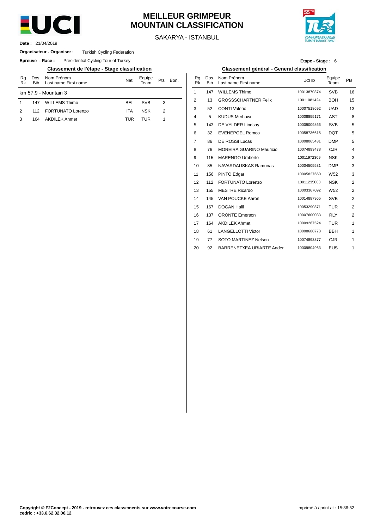

# **MEILLEUR GRIMPEUR MOUNTAIN CLASSIFICATION**

SAKARYA - ISTANBUL



21/04/2019 **Date :**

#### **Organisateur - Organiser :** Turkish Cycling Federation

**Epreuve - Race:** Presidential Cycling Tour of Turkey

**Classement de l'étape - Stage classification Classement général - General classification**

| Rg<br>Rk | Dos.<br><b>Bib</b> | Nom Prénom<br>Last name First name | Nat.       | Equipe<br>eam | Pts | Bon. | Rg<br>Rk       | Dos<br><b>Bib</b> |
|----------|--------------------|------------------------------------|------------|---------------|-----|------|----------------|-------------------|
|          |                    | km 57.9 - Mountain 3               |            |               |     |      |                | 147               |
|          | 147                | <b>WILLEMS Thimo</b>               | BEL        | <b>SVB</b>    | 3   |      | $\overline{2}$ | 13                |
| 2        | 112                | <b>FORTUNATO Lorenzo</b>           | <b>ITA</b> | <b>NSK</b>    | 2   |      | 3              | 52                |
| 3        | 164                | <b>AKDILEK Ahmet</b>               | TUR        | TUR           |     |      | $\overline{4}$ | 5                 |
|          |                    |                                    |            |               |     |      | Е              |                   |

| Etape - Stage: 6 |  |
|------------------|--|
|------------------|--|

| Nom Prénom<br>Last name First name | Nat.       | Equipe<br>Team | Pts | Bon. | Rg<br><b>Rk</b> | Dos.<br><b>Bib</b> | Nom Prénom<br>Last name First name | UCI ID      | Equipe<br>Team  | Pts          |
|------------------------------------|------------|----------------|-----|------|-----------------|--------------------|------------------------------------|-------------|-----------------|--------------|
| 1ountain 3                         |            |                |     |      | 1               | 147                | <b>WILLEMS Thimo</b>               | 10013870374 | <b>SVB</b>      | 16           |
| <b>WILLEMS Thimo</b>               | <b>BEL</b> | <b>SVB</b>     | 3   |      | 2               | 13                 | <b>GROSSSCHARTNER Felix</b>        | 10011081424 | <b>BOH</b>      | 15           |
| <b>FORTUNATO Lorenzo</b>           | <b>ITA</b> | <b>NSK</b>     | 2   |      | 3               | 52                 | <b>CONTI Valerio</b>               | 10007518692 | <b>UAD</b>      | 13           |
| <b>AKDILEK Ahmet</b>               | <b>TUR</b> | <b>TUR</b>     | 1   |      | 4               | 5                  | <b>KUDUS Merhawi</b>               | 10008855171 | <b>AST</b>      | 8            |
|                                    |            |                |     |      | 5               | 143                | DE VYLDER Lindsay                  | 10009009866 | <b>SVB</b>      | 5            |
|                                    |            |                |     |      | 6               | 32                 | <b>EVENEPOEL Remco</b>             | 10058736615 | <b>DQT</b>      | 5            |
|                                    |            |                |     |      | 7               | 86                 | DE ROSSI Lucas                     | 10008065431 | <b>DMP</b>      | 5            |
|                                    |            |                |     |      | 8               | 76                 | <b>MOREIRA GUARINO Mauricio</b>    | 10074893478 | <b>CJR</b>      | 4            |
|                                    |            |                |     |      | 9               | 115                | <b>MARENGO Umberto</b>             | 10011972309 | <b>NSK</b>      | 3            |
|                                    |            |                |     |      | 10              | 85                 | NAVARDAUSKAS Ramunas               | 10004505531 | <b>DMP</b>      | 3            |
|                                    |            |                |     |      | 11              | 156                | PINTO Edgar                        | 10005827660 | W <sub>52</sub> | 3            |
|                                    |            |                |     |      | 12              | 112                | <b>FORTUNATO Lorenzo</b>           | 10011235008 | <b>NSK</b>      | 2            |
|                                    |            |                |     |      | 13              | 155                | <b>MESTRE Ricardo</b>              | 10003367092 | W <sub>52</sub> | 2            |
|                                    |            |                |     |      | 14              | 145                | VAN POUCKE Aaron                   | 10014887965 | <b>SVB</b>      | 2            |
|                                    |            |                |     |      | 15              | 167                | <b>DOGAN Halil</b>                 | 10053290871 | <b>TUR</b>      | 2            |
|                                    |            |                |     |      | 16              | 137                | <b>ORONTE Emerson</b>              | 10007600033 | <b>RLY</b>      | 2            |
|                                    |            |                |     |      | 17              | 164                | <b>AKDILEK Ahmet</b>               | 10009267524 | <b>TUR</b>      | 1            |
|                                    |            |                |     |      | 18              | 61                 | <b>LANGELLOTTI Victor</b>          | 10008680773 | <b>BBH</b>      | 1            |
|                                    |            |                |     |      | 19              | 77                 | SOTO MARTINEZ Nelson               | 10074893377 | <b>CJR</b>      | $\mathbf{1}$ |
|                                    |            |                |     |      | 20              | 92                 | BARRENETXEA URIARTE Ander          | 10009804963 | <b>EUS</b>      | 1            |
|                                    |            |                |     |      |                 |                    |                                    |             |                 |              |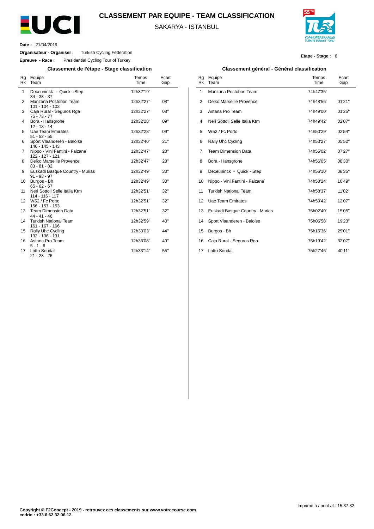

## **CLASSEMENT PAR EQUIPE - TEAM CLASSIFICATION**

SAKARYA - ISTANBUL



**Etape - Stage :** 6

**Date :** 21/04/2019

 $\overline{a}$ 

**Organisateur - Organiser :** Turkish Cycling Federation

**Epreuve - Race :** Presidential Cycling Tour of Turkey

**Classement de l'étape - Stage classification Classement général - Général classification**

| Rg<br>Rk | Equipe<br>Team                                     | Temps<br>Time | Ecart<br>Gap |
|----------|----------------------------------------------------|---------------|--------------|
| 1        | Deceuninck - Quick - Step<br>$34 - 33 - 37$        | 12h32'19"     |              |
| 2        | Manzana Postobon Team<br>$101 - 104 - 103$         | 12h32'27"     | 08"          |
| 3        | Caja Rural - Seguros Rga<br>$75 - 73 - 77$         | 12h32'27"     | 08"          |
| 4        | Bora - Hansgrohe<br>$12 - 13 - 14$                 | 12h32'28"     | 09"          |
| 5        | <b>Uae Team Emirates</b><br>$51 - 52 - 55$         | 12h32'28"     | 09"          |
| 6        | Sport Vlaanderen - Baloise<br>146 - 145 - 143      | 12h32'40"     | 21"          |
| 7        | Nippo - Vini Fantini - Faizane`<br>122 - 127 - 121 | 12h32'47"     | 28"          |
| 8        | Delko Marseille Provence<br>$83 - 81 - 82$         | 12h32'47"     | 28"          |
| 9        | Euskadi Basque Country - Murias<br>$91 - 93 - 97$  | 12h32'49"     | 30"          |
| 10       | Burgos - Bh<br>$65 - 62 - 67$                      | 12h32'49"     | 30"          |
| 11       | Neri Sottoli Selle Italia Ktm<br>114 - 116 - 117   | 12h32'51"     | 32"          |
| 12       | W52 / Fc Porto<br>156 - 157 - 153                  | 12h32'51"     | 32"          |
| 13       | <b>Team Dimension Data</b><br>$44 - 41 - 46$       | 12h32'51"     | 32"          |
| 14       | <b>Turkish National Team</b><br>161 - 167 - 166    | 12h32'59"     | 40"          |
| 15       | Rally Uhc Cycling<br>132 - 136 - 131               | 12h33'03"     | 44"          |
| 16       | Astana Pro Team<br>$5 - 1 - 6$                     | 12h33'08"     | 49"          |
| 17       | Lotto Soudal<br>21 - 23 - 26                       | 12h33'14"     | 55"          |

|  | amant aénéral Cénéral alagaification |
|--|--------------------------------------|
|  |                                      |

| Rg<br><b>Rk</b> | Equipe<br>Team                  | Temps<br>Time | Ecart<br>Gap |
|-----------------|---------------------------------|---------------|--------------|
| 1               | Manzana Postobon Team           | 74h47'35"     |              |
| 2               | Delko Marseille Provence        | 74h48'56"     | 01'21"       |
| 3               | Astana Pro Team                 | 74h49'00"     | 01'25"       |
| 4               | Neri Sottoli Selle Italia Ktm   | 74h49'42"     | 02'07"       |
| 5               | W52 / Fc Porto                  | 74h50'29"     | 02'54"       |
| 6               | Rally Uhc Cycling               | 74h53'27"     | 05'52"       |
| 7               | <b>Team Dimension Data</b>      | 74h55'02"     | 07'27"       |
| 8               | Bora - Hansgrohe                | 74h56'05"     | 08'30"       |
| 9               | Deceuninck - Quick - Step       | 74h56'10"     | 08'35"       |
| 10              | Nippo - Vini Fantini - Faizane` | 74h58'24"     | 10'49"       |
| 11              | <b>Turkish National Team</b>    | 74h58'37"     | 11'02"       |
| 12              | <b>Uae Team Emirates</b>        | 74h59'42"     | 12'07"       |
| 13              | Euskadi Basque Country - Murias | 75h02'40"     | 15'05"       |
| 14              | Sport Vlaanderen - Baloise      | 75h06'58"     | 19'23"       |
| 15              | Burgos - Bh                     | 75h16'36"     | 29'01"       |
| 16              | Caja Rural - Seguros Rga        | 75h19'42"     | 32'07"       |
| 17              | Lotto Soudal                    | 75h27'46"     | 40'11"       |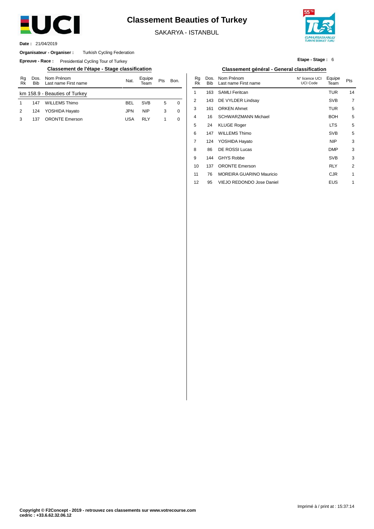

# **Classement Beauties of Turkey**

SAKARYA - ISTANBUL



21/04/2019 **Date :**

#### **Organisateur - Organiser :** Turkish Cycling Federation

**Epreuve - Race:** Presidential Cycling Tour of Turkey

| Rg<br>Rk | <b>Bib</b> | Dos. Nom Prénom<br>Last name First name | Nat. | Equipe<br>Team | Pts | Bon. |  |
|----------|------------|-----------------------------------------|------|----------------|-----|------|--|
|          |            | km 158.9 - Beauties of Turkey           |      |                |     |      |  |
| 1        | 147        | <b>WILLEMS Thimo</b>                    | BEL  | <b>SVB</b>     | 5   | 0    |  |
| 2        | 124        | YOSHIDA Hayato                          | JPN  | <b>NIP</b>     | 3   | 0    |  |
| 3        | 137        | <b>ORONTE Emerson</b>                   | USA  | RI Y           |     | 0    |  |

| Etape - Stage: 6 |  |
|------------------|--|
|------------------|--|

### **Classement de l'étape - Stage classification Classement général - General classification**

| Nom Prénom<br>Last name First name | Nat.       | Equipe<br>Team | Pts          | Bon. | Ra<br>Rk | Dos.<br>Bib | Nom Prénom<br>Last name First name | N° licence UCI<br>UCI Code | Equipe<br>Team | Pts            |
|------------------------------------|------------|----------------|--------------|------|----------|-------------|------------------------------------|----------------------------|----------------|----------------|
| <b>Beauties of Turkey</b>          |            |                |              |      |          | 163         | <b>SAMLI Feritcan</b>              |                            | <b>TUR</b>     | 14             |
| WILLEMS Thimo                      | <b>BEL</b> | <b>SVB</b>     | 5            | 0    | 2        | 143         | DE VYLDER Lindsay                  |                            | <b>SVB</b>     | $\overline{7}$ |
| YOSHIDA Hayato                     | JPN        | <b>NIP</b>     | 3            | 0    | 3        | 161         | <b>ORKEN Ahmet</b>                 |                            | <b>TUR</b>     | 5              |
| <b>ORONTE Emerson</b>              | <b>USA</b> | <b>RLY</b>     | $\mathbf{1}$ | 0    | 4        | 16          | <b>SCHWARZMANN Michael</b>         |                            | <b>BOH</b>     | 5              |
|                                    |            |                |              |      | 5        | 24          | <b>KLUGE Roger</b>                 |                            | <b>LTS</b>     | 5              |
|                                    |            |                |              |      | 6        | 147         | <b>WILLEMS Thimo</b>               |                            | <b>SVB</b>     | 5              |
|                                    |            |                |              |      | 7        | 124         | YOSHIDA Hayato                     |                            | <b>NIP</b>     | 3              |
|                                    |            |                |              |      | 8        | 86          | DE ROSSI Lucas                     |                            | <b>DMP</b>     | 3              |
|                                    |            |                |              |      | 9        | 144         | <b>GHYS Robbe</b>                  |                            | <b>SVB</b>     | 3              |
|                                    |            |                |              |      | 10       | 137         | <b>ORONTE Emerson</b>              |                            | <b>RLY</b>     | 2              |
|                                    |            |                |              |      | 11       | 76          | <b>MOREIRA GUARINO Mauricio</b>    |                            | <b>CJR</b>     | 1              |
|                                    |            |                |              |      | 12       | 95          | VIEJO REDONDO Jose Daniel          |                            | <b>EUS</b>     | 1              |